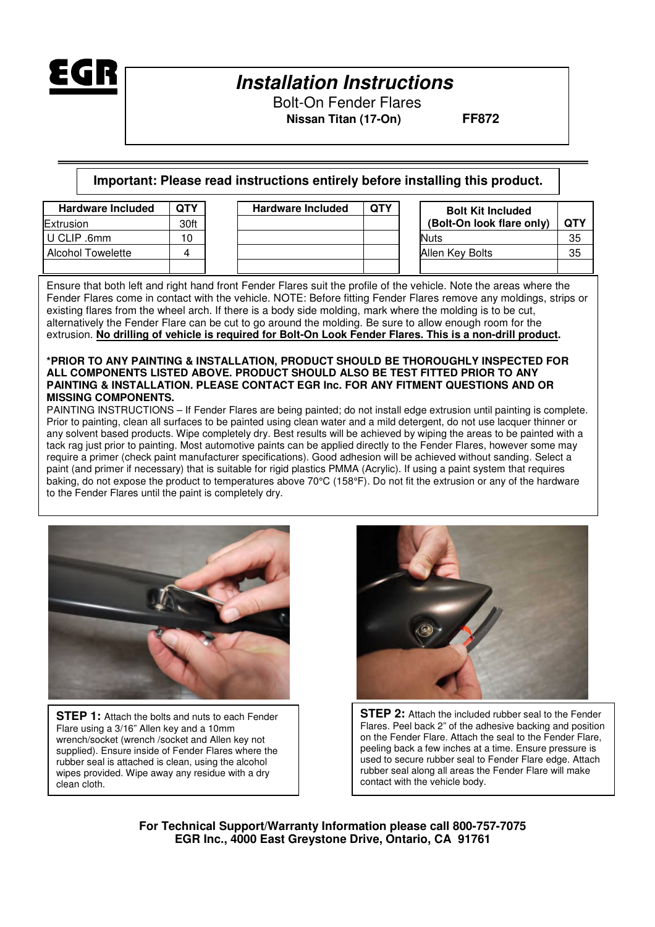

Bolt-On Fender Flares  **Nissan Titan (17-On) FF872**

**Important: Please read instructions entirely before installing this product.** 

| <b>Hardware Included</b> | <b>QTY</b> | <b>Hardware Included</b> | <b>QTY</b> | <b>Bolt Kit Included</b>  |            |
|--------------------------|------------|--------------------------|------------|---------------------------|------------|
| Extrusion                | 30ft       |                          |            | (Bolt-On look flare only) | <b>QTY</b> |
| U CLIP .6mm              | 10         |                          |            | <b>Nuts</b>               | 35         |
| <b>Alcohol Towelette</b> |            |                          |            | Allen Key Bolts           | 35         |
|                          |            |                          |            |                           |            |

Ensure that both left and right hand front Fender Flares suit the profile of the vehicle. Note the areas where the Fender Flares come in contact with the vehicle. NOTE: Before fitting Fender Flares remove any moldings, strips or existing flares from the wheel arch. If there is a body side molding, mark where the molding is to be cut, alternatively the Fender Flare can be cut to go around the molding. Be sure to allow enough room for the extrusion. **No drilling of vehicle is required for Bolt-On Look Fender Flares. This is a non-drill product.** 

#### **\*PRIOR TO ANY PAINTING & INSTALLATION, PRODUCT SHOULD BE THOROUGHLY INSPECTED FOR ALL COMPONENTS LISTED ABOVE. PRODUCT SHOULD ALSO BE TEST FITTED PRIOR TO ANY PAINTING & INSTALLATION. PLEASE CONTACT EGR Inc. FOR ANY FITMENT QUESTIONS AND OR MISSING COMPONENTS.**

PAINTING INSTRUCTIONS – If Fender Flares are being painted; do not install edge extrusion until painting is complete. Prior to painting, clean all surfaces to be painted using clean water and a mild detergent, do not use lacquer thinner or any solvent based products. Wipe completely dry. Best results will be achieved by wiping the areas to be painted with a tack rag just prior to painting. Most automotive paints can be applied directly to the Fender Flares, however some may require a primer (check paint manufacturer specifications). Good adhesion will be achieved without sanding. Select a paint (and primer if necessary) that is suitable for rigid plastics PMMA (Acrylic). If using a paint system that requires baking, do not expose the product to temperatures above 70°C (158°F). Do not fit the extrusion or any of the hardware to the Fender Flares until the paint is completely dry.



**STEP 1:** Attach the bolts and nuts to each Fender Flare using a 3/16" Allen key and a 10mm wrench/socket (wrench /socket and Allen key not supplied). Ensure inside of Fender Flares where the rubber seal is attached is clean, using the alcohol wipes provided. Wipe away any residue with a dry clean cloth.



**STEP 2:** Attach the included rubber seal to the Fender Flares. Peel back 2" of the adhesive backing and position on the Fender Flare. Attach the seal to the Fender Flare, peeling back a few inches at a time. Ensure pressure is used to secure rubber seal to Fender Flare edge. Attach rubber seal along all areas the Fender Flare will make contact with the vehicle body.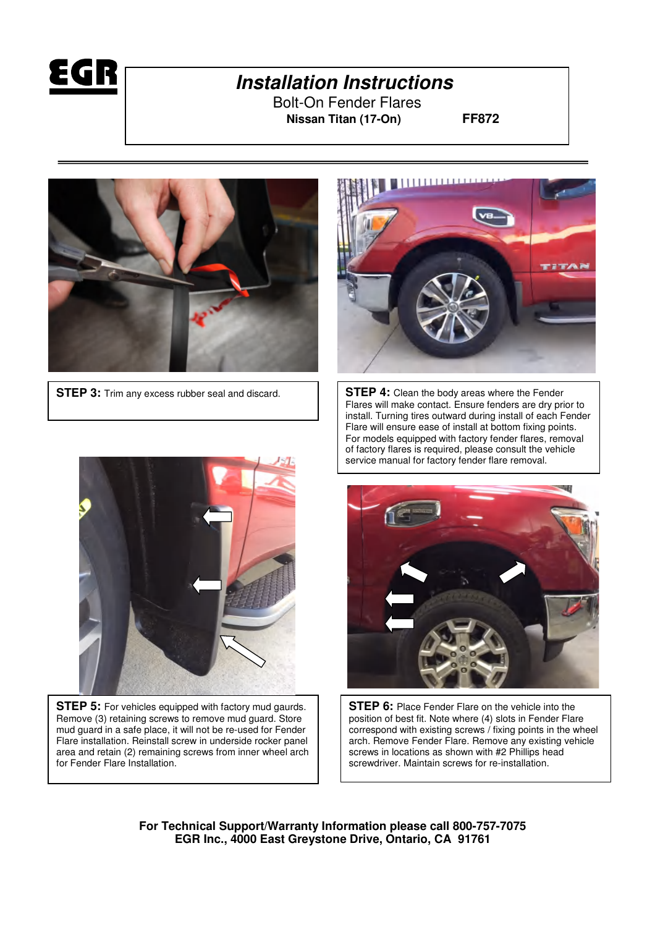

Bolt-On Fender Flares  **Nissan Titan (17-On) FF872**





**STEP 3:** Trim any excess rubber seal and discard.  $\vert \vert$  **STEP 4:** Clean the body areas where the Fender Flares will make contact. Ensure fenders are dry prior to install. Turning tires outward during install of each Fender Flare will ensure ease of install at bottom fixing points. For models equipped with factory fender flares, removal of factory flares is required, please consult the vehicle service manual for factory fender flare removal.



**STEP 5:** For vehicles equipped with factory mud gaurds. Remove (3) retaining screws to remove mud guard. Store mud guard in a safe place, it will not be re-used for Fender Flare installation. Reinstall screw in underside rocker panel area and retain (2) remaining screws from inner wheel arch for Fender Flare Installation.



**STEP 6:** Place Fender Flare on the vehicle into the position of best fit. Note where (4) slots in Fender Flare correspond with existing screws / fixing points in the wheel arch. Remove Fender Flare. Remove any existing vehicle screws in locations as shown with #2 Phillips head screwdriver. Maintain screws for re-installation.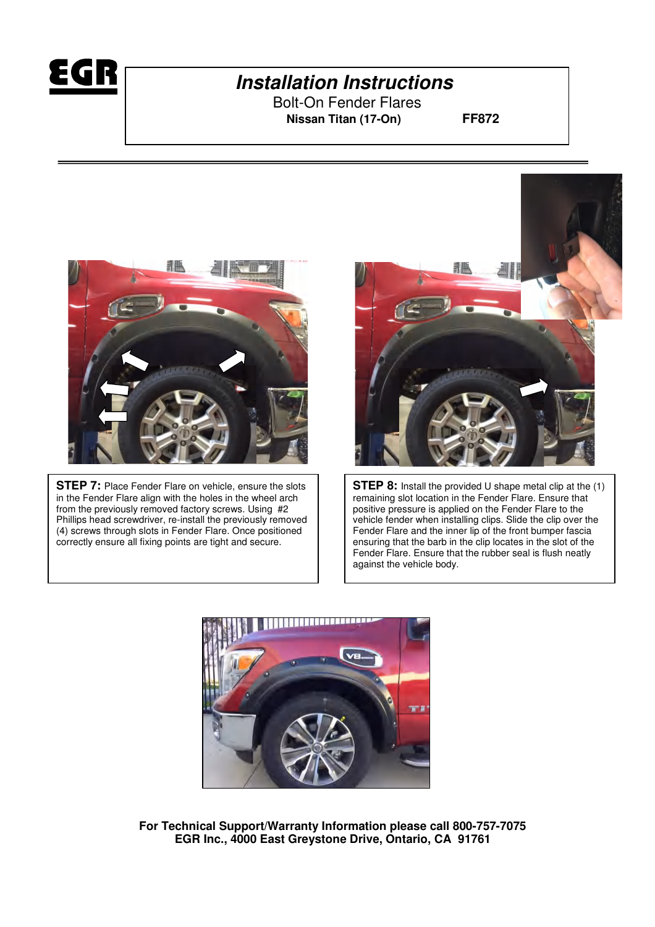

Bolt-On Fender Flares  **Nissan Titan (17-On) FF872**



**STEP 7:** Place Fender Flare on vehicle, ensure the slots in the Fender Flare align with the holes in the wheel arch from the previously removed factory screws. Using #2 Phillips head screwdriver, re-install the previously removed (4) screws through slots in Fender Flare. Once positioned correctly ensure all fixing points are tight and secure.



**STEP 8:** Install the provided U shape metal clip at the (1) remaining slot location in the Fender Flare. Ensure that positive pressure is applied on the Fender Flare to the vehicle fender when installing clips. Slide the clip over the Fender Flare and the inner lip of the front bumper fascia ensuring that the barb in the clip locates in the slot of the Fender Flare. Ensure that the rubber seal is flush neatly against the vehicle body.

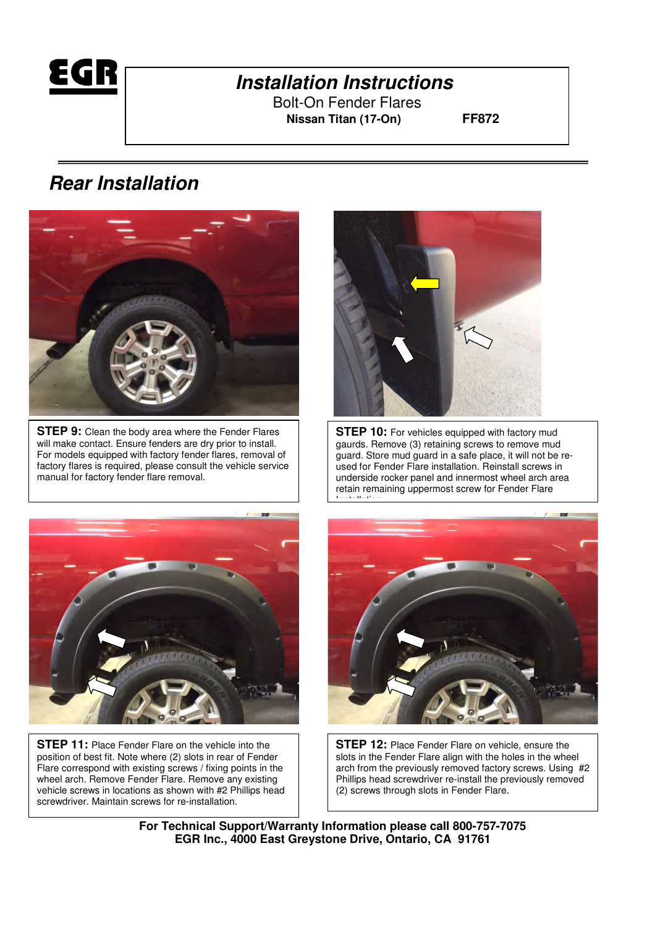

Bolt-On Fender Flares  **Nissan Titan (17-On) FF872**

# **Rear Installation**



**STEP 9:** Clean the body area where the Fender Flares will make contact. Ensure fenders are dry prior to install. For models equipped with factory fender flares, removal of factory flares is required, please consult the vehicle service manual for factory fender flare removal.



**STEP 10:** For vehicles equipped with factory mud gaurds. Remove (3) retaining screws to remove mud guard. Store mud guard in a safe place, it will not be reused for Fender Flare installation. Reinstall screws in underside rocker panel and innermost wheel arch area retain remaining uppermost screw for Fender Flare



**STEP 11:** Place Fender Flare on the vehicle into the position of best fit. Note where (2) slots in rear of Fender Flare correspond with existing screws / fixing points in the wheel arch. Remove Fender Flare. Remove any existing vehicle screws in locations as shown with #2 Phillips head screwdriver. Maintain screws for re-installation.



**STEP 12:** Place Fender Flare on vehicle, ensure the slots in the Fender Flare align with the holes in the wheel arch from the previously removed factory screws. Using #2 Phillips head screwdriver re-install the previously removed (2) screws through slots in Fender Flare.